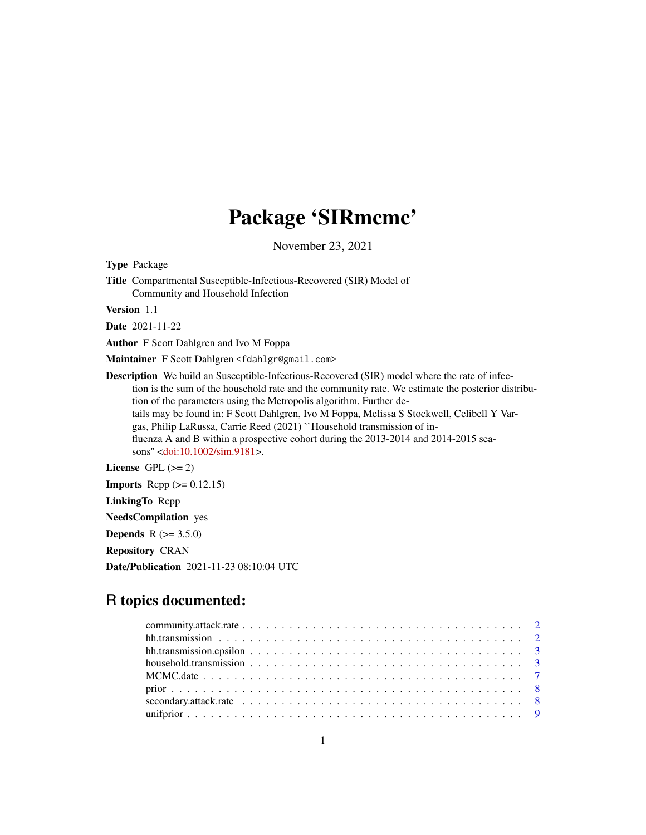## Package 'SIRmcmc'

November 23, 2021

<span id="page-0-0"></span>Type Package

Title Compartmental Susceptible-Infectious-Recovered (SIR) Model of Community and Household Infection

Version 1.1

Date 2021-11-22

Author F Scott Dahlgren and Ivo M Foppa

Maintainer F Scott Dahlgren <fdahlgr@gmail.com>

Description We build an Susceptible-Infectious-Recovered (SIR) model where the rate of infection is the sum of the household rate and the community rate. We estimate the posterior distribution of the parameters using the Metropolis algorithm. Further details may be found in: F Scott Dahlgren, Ivo M Foppa, Melissa S Stockwell, Celibell Y Vargas, Philip LaRussa, Carrie Reed (2021) ``Household transmission of influenza A and B within a prospective cohort during the 2013-2014 and 2014-2015 seasons'' [<doi:10.1002/sim.9181>](https://doi.org/10.1002/sim.9181).

License GPL  $(>= 2)$ 

**Imports** Rcpp  $(>= 0.12.15)$ LinkingTo Rcpp NeedsCompilation yes **Depends**  $R$  ( $>= 3.5.0$ ) Repository CRAN Date/Publication 2021-11-23 08:10:04 UTC

## R topics documented: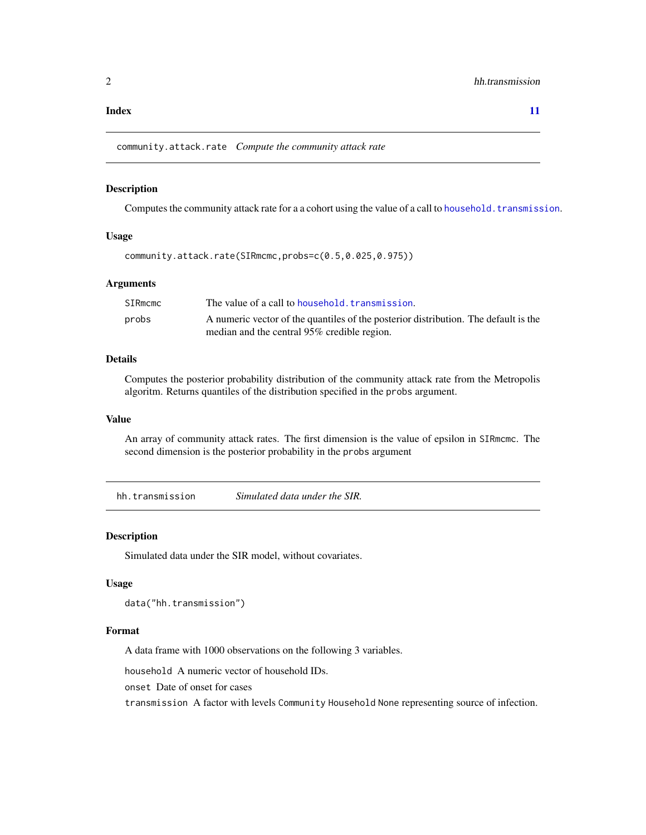#### <span id="page-1-0"></span>**Index** [11](#page-10-0)

community.attack.rate *Compute the community attack rate*

#### Description

Computes the community attack rate for a a cohort using the value of a call to [household.transmission](#page-2-1).

#### Usage

```
community.attack.rate(SIRmcmc,probs=c(0.5,0.025,0.975))
```
## Arguments

| SIRmcmc | The value of a call to household, transmission.                                     |
|---------|-------------------------------------------------------------------------------------|
| probs   | A numeric vector of the quantiles of the posterior distribution. The default is the |
|         | median and the central 95% credible region.                                         |

## Details

Computes the posterior probability distribution of the community attack rate from the Metropolis algoritm. Returns quantiles of the distribution specified in the probs argument.

#### Value

An array of community attack rates. The first dimension is the value of epsilon in SIRmcmc. The second dimension is the posterior probability in the probs argument

hh.transmission *Simulated data under the SIR.*

#### Description

Simulated data under the SIR model, without covariates.

#### Usage

```
data("hh.transmission")
```
#### Format

A data frame with 1000 observations on the following 3 variables.

household A numeric vector of household IDs.

onset Date of onset for cases

transmission A factor with levels Community Household None representing source of infection.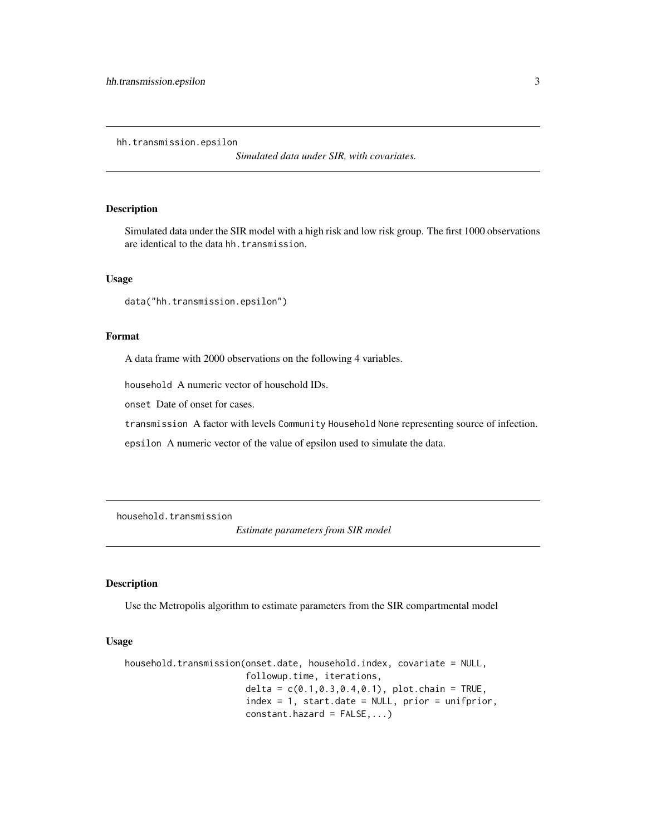<span id="page-2-0"></span>hh.transmission.epsilon

*Simulated data under SIR, with covariates.*

#### Description

Simulated data under the SIR model with a high risk and low risk group. The first 1000 observations are identical to the data hh.transmission.

## Usage

data("hh.transmission.epsilon")

#### Format

A data frame with 2000 observations on the following 4 variables.

household A numeric vector of household IDs.

onset Date of onset for cases.

transmission A factor with levels Community Household None representing source of infection.

epsilon A numeric vector of the value of epsilon used to simulate the data.

<span id="page-2-1"></span>household.transmission

*Estimate parameters from SIR model*

#### Description

Use the Metropolis algorithm to estimate parameters from the SIR compartmental model

#### Usage

```
household.transmission(onset.date, household.index, covariate = NULL,
                       followup.time, iterations,
                       delta = c(0.1, 0.3, 0.4, 0.1), plot.chain = TRUE,
                       index = 1, start.date = NULL, prior = unifprior,
                       constant.hazard = FALSE,...)
```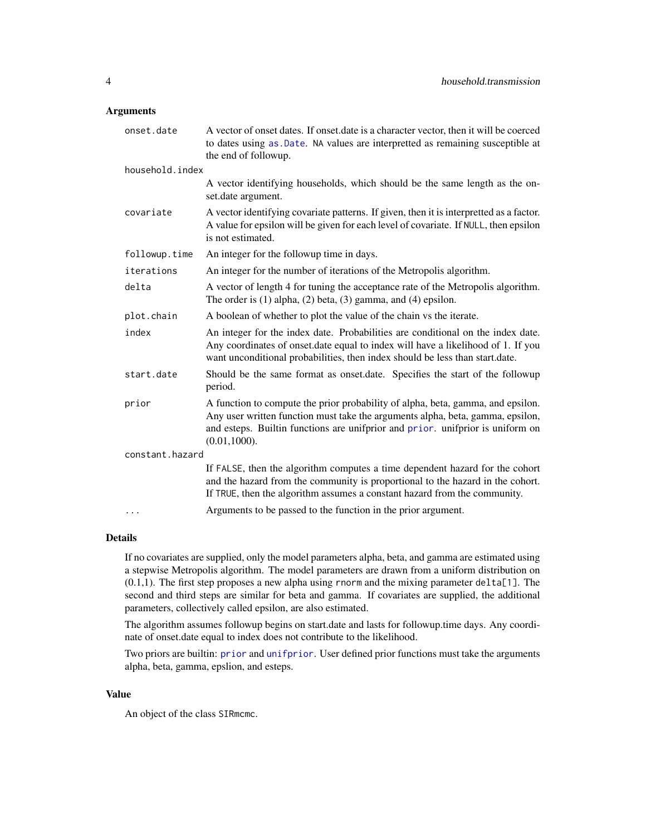#### <span id="page-3-0"></span>**Arguments**

| onset.date      | A vector of onset dates. If onset date is a character vector, then it will be coerced                                                                                                                                                                                |
|-----------------|----------------------------------------------------------------------------------------------------------------------------------------------------------------------------------------------------------------------------------------------------------------------|
|                 | to dates using as .Date. NA values are interpretted as remaining susceptible at<br>the end of followup.                                                                                                                                                              |
| household.index |                                                                                                                                                                                                                                                                      |
|                 | A vector identifying households, which should be the same length as the on-<br>set.date argument.                                                                                                                                                                    |
| covariate       | A vector identifying covariate patterns. If given, then it is interpretted as a factor.<br>A value for epsilon will be given for each level of covariate. If NULL, then epsilon<br>is not estimated.                                                                 |
| followup.time   | An integer for the followup time in days.                                                                                                                                                                                                                            |
| iterations      | An integer for the number of iterations of the Metropolis algorithm.                                                                                                                                                                                                 |
| delta           | A vector of length 4 for tuning the acceptance rate of the Metropolis algorithm.<br>The order is $(1)$ alpha, $(2)$ beta, $(3)$ gamma, and $(4)$ epsilon.                                                                                                            |
| plot.chain      | A boolean of whether to plot the value of the chain vs the iterate.                                                                                                                                                                                                  |
| index           | An integer for the index date. Probabilities are conditional on the index date.<br>Any coordinates of onset.date equal to index will have a likelihood of 1. If you<br>want unconditional probabilities, then index should be less than start.date.                  |
| start.date      | Should be the same format as onset. date. Specifies the start of the followup<br>period.                                                                                                                                                                             |
| prior           | A function to compute the prior probability of alpha, beta, gamma, and epsilon.<br>Any user written function must take the arguments alpha, beta, gamma, epsilon,<br>and esteps. Builtin functions are unifprior and prior. unifprior is uniform on<br>(0.01, 1000). |
| constant.hazard |                                                                                                                                                                                                                                                                      |
|                 | If FALSE, then the algorithm computes a time dependent hazard for the cohort<br>and the hazard from the community is proportional to the hazard in the cohort.<br>If TRUE, then the algorithm assumes a constant hazard from the community.                          |
| $\cdots$        | Arguments to be passed to the function in the prior argument.                                                                                                                                                                                                        |

#### Details

If no covariates are supplied, only the model parameters alpha, beta, and gamma are estimated using a stepwise Metropolis algorithm. The model parameters are drawn from a uniform distribution on  $(0.1,1)$ . The first step proposes a new alpha using rnorm and the mixing parameter delta[1]. The second and third steps are similar for beta and gamma. If covariates are supplied, the additional parameters, collectively called epsilon, are also estimated.

The algorithm assumes followup begins on start.date and lasts for followup.time days. Any coordinate of onset.date equal to index does not contribute to the likelihood.

Two priors are builtin: [prior](#page-7-1) and [unifprior](#page-8-1). User defined prior functions must take the arguments alpha, beta, gamma, epslion, and esteps.

## Value

An object of the class SIRmcmc.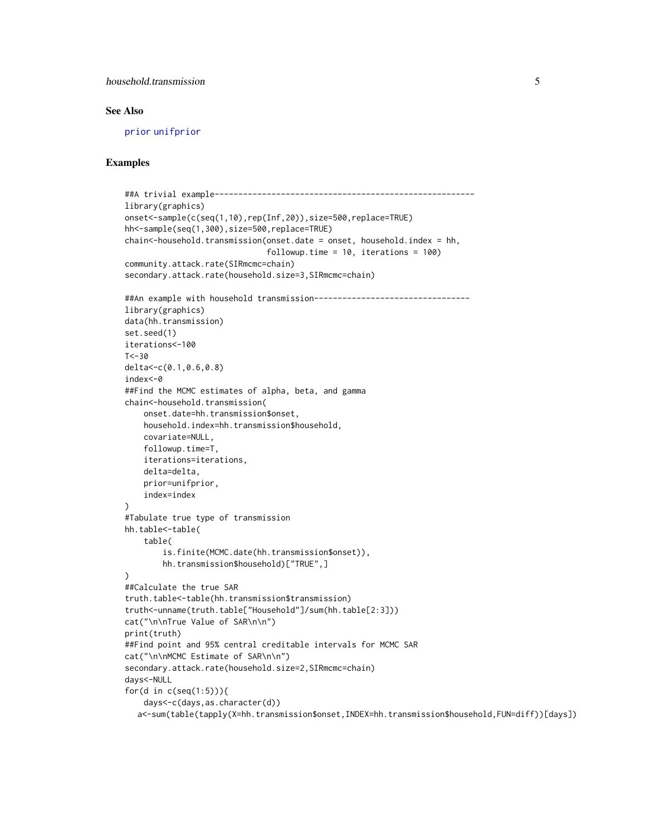## <span id="page-4-0"></span>household.transmission 5

## See Also

[prior](#page-7-1) [unifprior](#page-8-1)

#### Examples

```
##A trivial example-------------------------------------------------------
library(graphics)
onset<-sample(c(seq(1,10),rep(Inf,20)),size=500,replace=TRUE)
hh<-sample(seq(1,300),size=500,replace=TRUE)
chain <-household.transmission(onset.date = onset, household.index = hh,
                              followup.time = 10, iterations = 100)
community.attack.rate(SIRmcmc=chain)
secondary.attack.rate(household.size=3,SIRmcmc=chain)
##An example with household transmission---------------------------------
library(graphics)
data(hh.transmission)
set.seed(1)
iterations<-100
T < -30delta<-c(0.1,0.6,0.8)
index<-0
##Find the MCMC estimates of alpha, beta, and gamma
chain<-household.transmission(
   onset.date=hh.transmission$onset,
   household.index=hh.transmission$household,
   covariate=NULL,
   followup.time=T,
   iterations=iterations,
   delta=delta,
   prior=unifprior,
   index=index
)
#Tabulate true type of transmission
hh.table<-table(
    table(
        is.finite(MCMC.date(hh.transmission$onset)),
        hh.transmission$household)["TRUE",]
)
##Calculate the true SAR
truth.table<-table(hh.transmission$transmission)
truth<-unname(truth.table["Household"]/sum(hh.table[2:3]))
cat("\n\nTrue Value of SAR\n\n")
print(truth)
##Find point and 95% central creditable intervals for MCMC SAR
cat("\n\nMCMC Estimate of SAR\n\n")
secondary.attack.rate(household.size=2,SIRmcmc=chain)
days<-NULL
for(d in c(seq(1:5))){
    days<-c(days,as.character(d))
  a<-sum(table(tapply(X=hh.transmission$onset,INDEX=hh.transmission$household,FUN=diff))[days])
```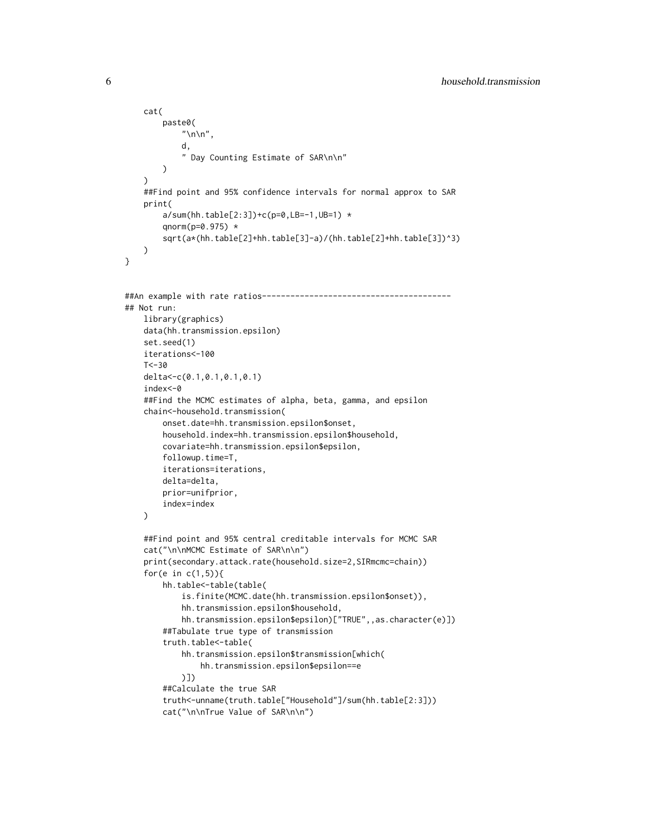```
cat(
        paste0(
            "\n\n",
            d,
            " Day Counting Estimate of SAR\n\n"
        )
    \lambda##Find point and 95% confidence intervals for normal approx to SAR
   print(
        a/sum(hh.table[2:3])+c(p=0,LB=-1,UB=1) *
        qnorm(p=0.975) *
        sqrt(a*(hh.table[2]+hh.table[3]-a)/(hh.table[2]+hh.table[3])^3)
   )
}
##An example with rate ratios----------------------------------------
## Not run:
   library(graphics)
   data(hh.transmission.epsilon)
    set.seed(1)
    iterations<-100
   T < -30delta<-c(0.1,0.1,0.1,0.1)
    index<-0
    ##Find the MCMC estimates of alpha, beta, gamma, and epsilon
    chain<-household.transmission(
        onset.date=hh.transmission.epsilon$onset,
        household.index=hh.transmission.epsilon$household,
        covariate=hh.transmission.epsilon$epsilon,
        followup.time=T,
        iterations=iterations,
        delta=delta,
        prior=unifprior,
        index=index
   )
    ##Find point and 95% central creditable intervals for MCMC SAR
    cat("\n\nMCMC Estimate of SAR\n\n")
    print(secondary.attack.rate(household.size=2,SIRmcmc=chain))
    for(e in c(1,5)){
        hh.table<-table(table(
            is.finite(MCMC.date(hh.transmission.epsilon$onset)),
            hh.transmission.epsilon$household,
            hh.transmission.epsilon$epsilon)["TRUE",,as.character(e)])
        ##Tabulate true type of transmission
        truth.table<-table(
            hh.transmission.epsilon$transmission[which(
                hh.transmission.epsilon$epsilon==e
            )])
        ##Calculate the true SAR
        truth<-unname(truth.table["Household"]/sum(hh.table[2:3]))
        cat("\n\nTrue Value of SAR\n\n")
```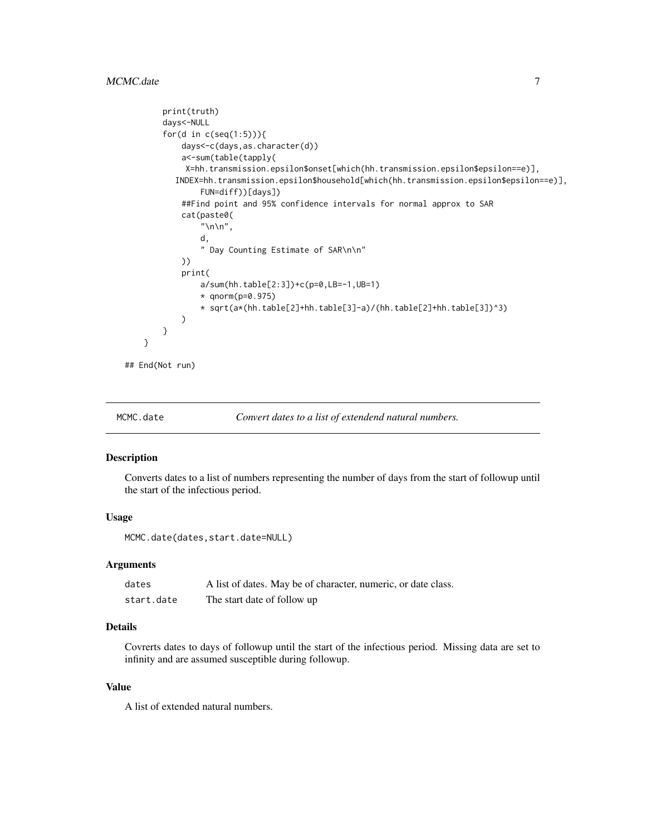```
print(truth)
    days<-NULL
    for(d in c(seq(1:5))){
        days<-c(days,as.character(d))
        a<-sum(table(tapply(
         X=hh.transmission.epsilon$onset[which(hh.transmission.epsilon$epsilon==e)],
      INDEX=hh.transmission.epsilon$household[which(hh.transmission.epsilon$epsilon==e)],
            FUN=diff))[days])
        ##Find point and 95% confidence intervals for normal approx to SAR
        cat(paste0(
            " \n\ln \n\frac{m}{n},
            d,
            " Day Counting Estimate of SAR\n\n"
        ))
        print(
            a/sum(hh.table[2:3])+c(p=0,LB=-1,UB=1)
            * qnorm(p=0.975)
            * sqrt(a*(hh.table[2]+hh.table[3]-a)/(hh.table[2]+hh.table[3])^3)
        )
    }
}
```
## End(Not run)

MCMC.date *Convert dates to a list of extendend natural numbers.*

#### Description

Converts dates to a list of numbers representing the number of days from the start of followup until the start of the infectious period.

#### Usage

MCMC.date(dates,start.date=NULL)

#### **Arguments**

| dates      | A list of dates. May be of character, numeric, or date class. |
|------------|---------------------------------------------------------------|
| start.date | The start date of follow up                                   |

## Details

Covrerts dates to days of followup until the start of the infectious period. Missing data are set to infinity and are assumed susceptible during followup.

#### Value

A list of extended natural numbers.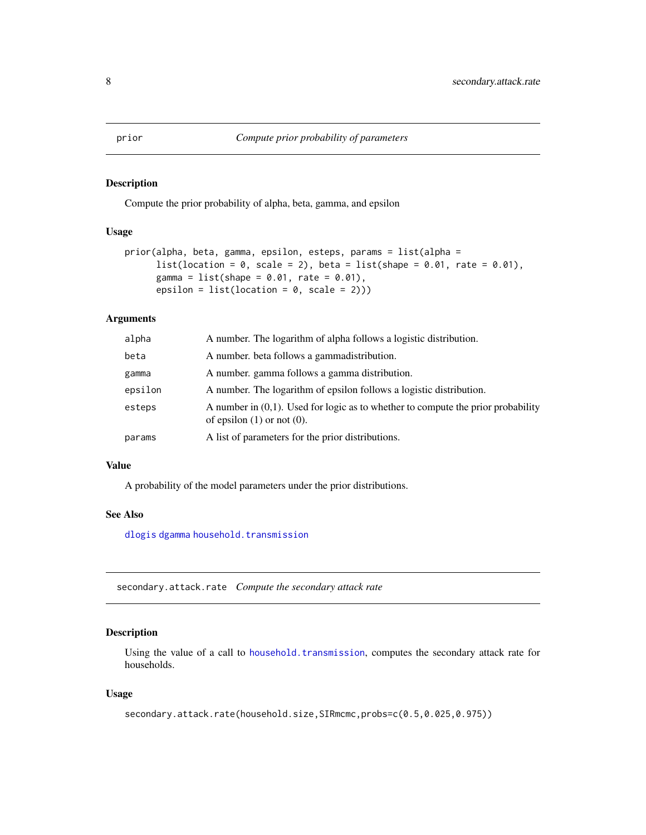#### <span id="page-7-1"></span><span id="page-7-0"></span>Description

Compute the prior probability of alpha, beta, gamma, and epsilon

## Usage

```
prior(alpha, beta, gamma, epsilon, esteps, params = list(alpha =
      list(location = 0, scale = 2), beta = list(shape = 0.01, rate = 0.01),
      gamma = list(shape = 0.01, rate = 0.01),epsilon = list(location = 0, scale = 2)))
```
## Arguments

| alpha   | A number. The logarithm of alpha follows a logistic distribution.                                                      |
|---------|------------------------------------------------------------------------------------------------------------------------|
| beta    | A number, beta follows a gammadistribution.                                                                            |
| gamma   | A number, gamma follows a gamma distribution.                                                                          |
| epsilon | A number. The logarithm of epsilon follows a logistic distribution.                                                    |
| esteps  | A number in $(0,1)$ . Used for logic as to whether to compute the prior probability<br>of epsilon $(1)$ or not $(0)$ . |
| params  | A list of parameters for the prior distributions.                                                                      |

#### Value

A probability of the model parameters under the prior distributions.

#### See Also

[dlogis](#page-0-0) [dgamma](#page-0-0) [household.transmission](#page-2-1)

secondary.attack.rate *Compute the secondary attack rate*

#### Description

Using the value of a call to [household.transmission](#page-2-1), computes the secondary attack rate for households.

#### Usage

```
secondary.attack.rate(household.size,SIRmcmc,probs=c(0.5,0.025,0.975))
```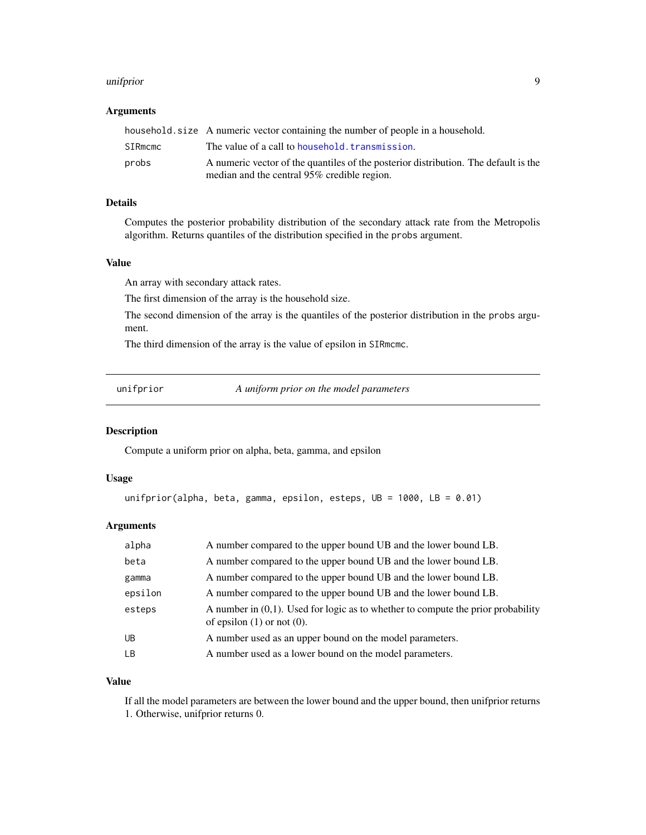#### <span id="page-8-0"></span>unifprior that the contract of the contract of the contract of the contract of the contract of the contract of

## Arguments

|         | household, size A numeric vector containing the number of people in a household.    |
|---------|-------------------------------------------------------------------------------------|
| SIRmcmc | The value of a call to household, transmission.                                     |
| probs   | A numeric vector of the quantiles of the posterior distribution. The default is the |
|         | median and the central 95% credible region.                                         |

## Details

Computes the posterior probability distribution of the secondary attack rate from the Metropolis algorithm. Returns quantiles of the distribution specified in the probs argument.

#### Value

An array with secondary attack rates.

The first dimension of the array is the household size.

The second dimension of the array is the quantiles of the posterior distribution in the probs argument.

The third dimension of the array is the value of epsilon in SIRmcmc.

<span id="page-8-1"></span>unifprior *A uniform prior on the model parameters*

#### Description

Compute a uniform prior on alpha, beta, gamma, and epsilon

#### Usage

```
unifprior(alpha, beta, gamma, epsilon, esteps, UB = 1000, LB = 0.01)
```
#### Arguments

| alpha   | A number compared to the upper bound UB and the lower bound LB.                                                        |
|---------|------------------------------------------------------------------------------------------------------------------------|
| beta    | A number compared to the upper bound UB and the lower bound LB.                                                        |
| gamma   | A number compared to the upper bound UB and the lower bound LB.                                                        |
| epsilon | A number compared to the upper bound UB and the lower bound LB.                                                        |
| esteps  | A number in $(0,1)$ . Used for logic as to whether to compute the prior probability<br>of epsilon $(1)$ or not $(0)$ . |
| UB      | A number used as an upper bound on the model parameters.                                                               |
| LB      | A number used as a lower bound on the model parameters.                                                                |

#### Value

If all the model parameters are between the lower bound and the upper bound, then unifprior returns 1. Otherwise, unifprior returns 0.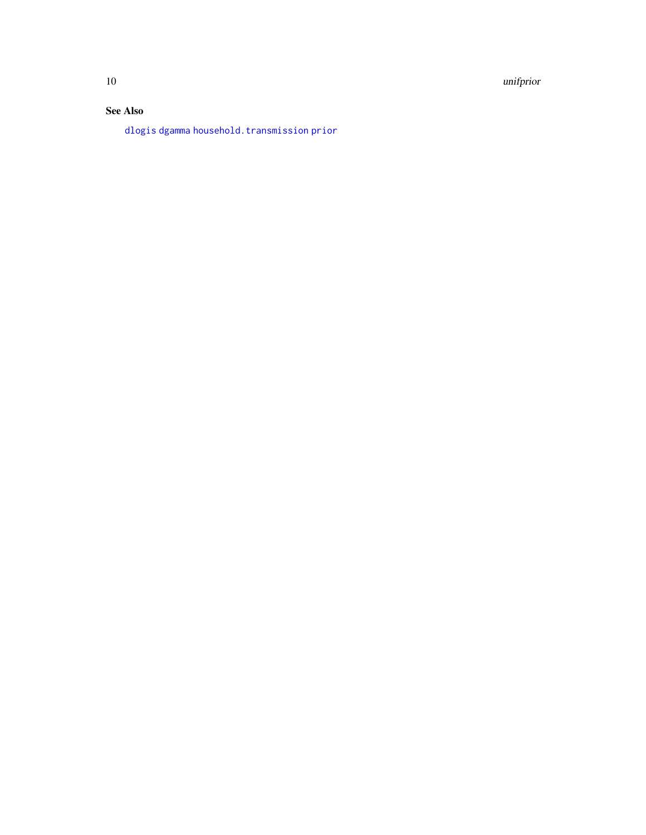<span id="page-9-0"></span>10 unifprior

## See Also

[dlogis](#page-0-0) [dgamma](#page-0-0) [household.transmission](#page-2-1) [prior](#page-7-1)